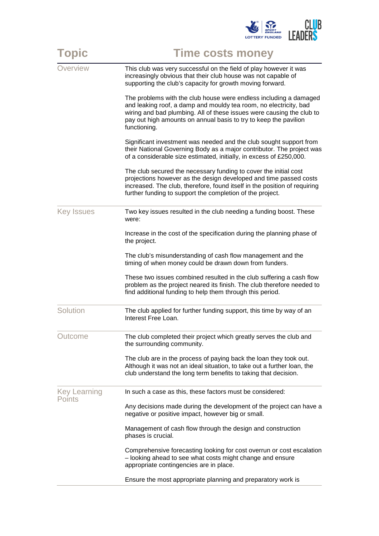

| <b>Topic</b>                  | <b>Time costs money</b>                                                                                                                                                                                                                                                                             |
|-------------------------------|-----------------------------------------------------------------------------------------------------------------------------------------------------------------------------------------------------------------------------------------------------------------------------------------------------|
| Overview                      | This club was very successful on the field of play however it was<br>increasingly obvious that their club house was not capable of<br>supporting the club's capacity for growth moving forward.                                                                                                     |
|                               | The problems with the club house were endless including a damaged<br>and leaking roof, a damp and mouldy tea room, no electricity, bad<br>wiring and bad plumbing. All of these issues were causing the club to<br>pay out high amounts on annual basis to try to keep the pavilion<br>functioning. |
|                               | Significant investment was needed and the club sought support from<br>their National Governing Body as a major contributor. The project was<br>of a considerable size estimated, initially, in excess of £250,000.                                                                                  |
|                               | The club secured the necessary funding to cover the initial cost<br>projections however as the design developed and time passed costs<br>increased. The club, therefore, found itself in the position of requiring<br>further funding to support the completion of the project.                     |
| <b>Key Issues</b>             | Two key issues resulted in the club needing a funding boost. These<br>were:                                                                                                                                                                                                                         |
|                               | Increase in the cost of the specification during the planning phase of<br>the project.                                                                                                                                                                                                              |
|                               | The club's misunderstanding of cash flow management and the<br>timing of when money could be drawn down from funders.                                                                                                                                                                               |
|                               | These two issues combined resulted in the club suffering a cash flow<br>problem as the project neared its finish. The club therefore needed to<br>find additional funding to help them through this period.                                                                                         |
| Solution                      | The club applied for further funding support, this time by way of an<br>Interest Free Loan.                                                                                                                                                                                                         |
| Outcome                       | The club completed their project which greatly serves the club and<br>the surrounding community.                                                                                                                                                                                                    |
|                               | The club are in the process of paying back the loan they took out.<br>Although it was not an ideal situation, to take out a further loan, the<br>club understand the long term benefits to taking that decision.                                                                                    |
| <b>Key Learning</b><br>Points | In such a case as this, these factors must be considered:                                                                                                                                                                                                                                           |
|                               | Any decisions made during the development of the project can have a<br>negative or positive impact, however big or small.                                                                                                                                                                           |
|                               | Management of cash flow through the design and construction<br>phases is crucial.                                                                                                                                                                                                                   |
|                               | Comprehensive forecasting looking for cost overrun or cost escalation<br>- looking ahead to see what costs might change and ensure<br>appropriate contingencies are in place.                                                                                                                       |
|                               | Ensure the most appropriate planning and preparatory work is                                                                                                                                                                                                                                        |